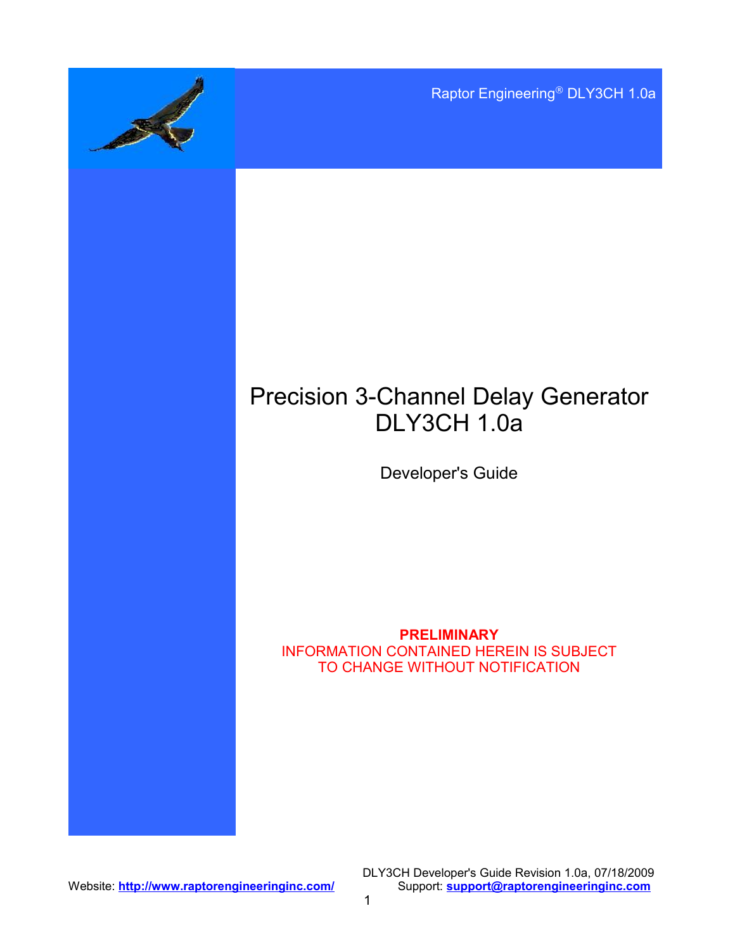Raptor Engineering® DLY3CH 1.0a

# Precision 3-Channel Delay Generator DLY3CH 1.0a

Developer's Guide

### **PRELIMINARY** INFORMATION CONTAINED HEREIN IS SUBJECT TO CHANGE WITHOUT NOTIFICATION

Website: **<http://www.raptorengineeringinc.com/>** 

DLY3CH Developer's Guide Revision 1.0a, 07/18/2009<br>Support: support@raptorengineeringinc.com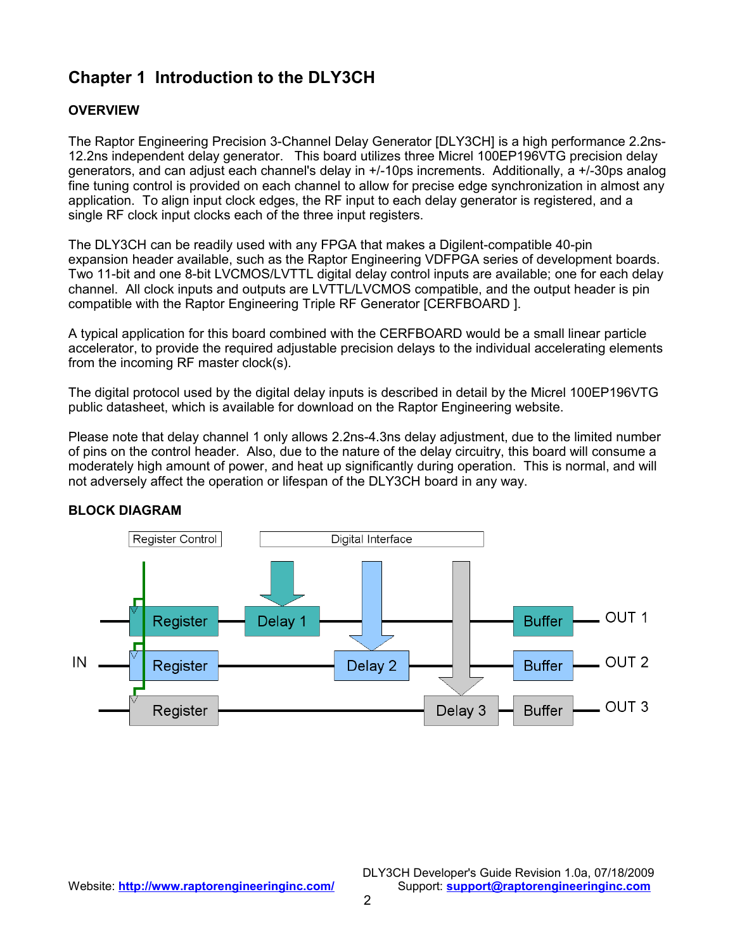# **Chapter 1 Introduction to the DLY3CH**

## **OVERVIEW**

The Raptor Engineering Precision 3-Channel Delay Generator [DLY3CH] is a high performance 2.2ns-12.2ns independent delay generator. This board utilizes three Micrel 100EP196VTG precision delay generators, and can adjust each channel's delay in +/-10ps increments. Additionally, a +/-30ps analog fine tuning control is provided on each channel to allow for precise edge synchronization in almost any application. To align input clock edges, the RF input to each delay generator is registered, and a single RF clock input clocks each of the three input registers.

The DLY3CH can be readily used with any FPGA that makes a Digilent-compatible 40-pin expansion header available, such as the Raptor Engineering VDFPGA series of development boards. Two 11-bit and one 8-bit LVCMOS/LVTTL digital delay control inputs are available; one for each delay channel. All clock inputs and outputs are LVTTL/LVCMOS compatible, and the output header is pin compatible with the Raptor Engineering Triple RF Generator [CERFBOARD ].

A typical application for this board combined with the CERFBOARD would be a small linear particle accelerator, to provide the required adjustable precision delays to the individual accelerating elements from the incoming RF master clock(s).

The digital protocol used by the digital delay inputs is described in detail by the Micrel 100EP196VTG public datasheet, which is available for download on the Raptor Engineering website.

Please note that delay channel 1 only allows 2.2ns-4.3ns delay adjustment, due to the limited number of pins on the control header. Also, due to the nature of the delay circuitry, this board will consume a moderately high amount of power, and heat up significantly during operation. This is normal, and will not adversely affect the operation or lifespan of the DLY3CH board in any way.



#### **BLOCK DIAGRAM**

DLY3CH Developer's Guide Revision 1.0a, 07/18/2009 Website: **<http://www.raptorengineeringinc.com/>** Support: **[support@raptorengineeringinc.com](mailto:support@raptorengineeringinc.com)**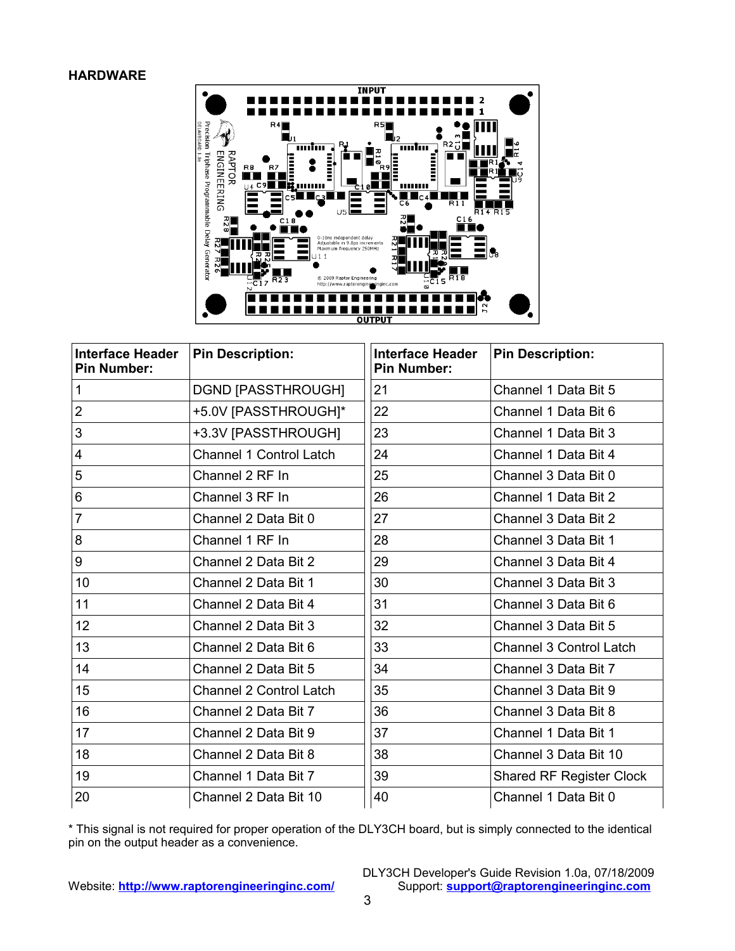#### **HARDWARE**



| <b>Interface Header</b><br><b>Pin Number:</b> | <b>Pin Description:</b>   | <b>Interface Header</b><br><b>Pin Number:</b> | <b>Pin Description:</b>         |
|-----------------------------------------------|---------------------------|-----------------------------------------------|---------------------------------|
| 1                                             | <b>DGND [PASSTHROUGH]</b> | 21                                            | Channel 1 Data Bit 5            |
| $\overline{2}$                                | +5.0V [PASSTHROUGH]*      | 22                                            | Channel 1 Data Bit 6            |
| 3                                             | +3.3V [PASSTHROUGH]       | 23                                            | Channel 1 Data Bit 3            |
| 4                                             | Channel 1 Control Latch   | 24                                            | Channel 1 Data Bit 4            |
| 5                                             | Channel 2 RF In           | 25                                            | Channel 3 Data Bit 0            |
| 6                                             | Channel 3 RF In           | 26                                            | Channel 1 Data Bit 2            |
| $\overline{7}$                                | Channel 2 Data Bit 0      | 27                                            | Channel 3 Data Bit 2            |
| 8                                             | Channel 1 RF In           | 28                                            | Channel 3 Data Bit 1            |
| 9                                             | Channel 2 Data Bit 2      | 29                                            | Channel 3 Data Bit 4            |
| 10                                            | Channel 2 Data Bit 1      | 30                                            | Channel 3 Data Bit 3            |
| 11                                            | Channel 2 Data Bit 4      | 31                                            | Channel 3 Data Bit 6            |
| 12 <sub>2</sub>                               | Channel 2 Data Bit 3      | 32                                            | Channel 3 Data Bit 5            |
| 13                                            | Channel 2 Data Bit 6      | 33                                            | <b>Channel 3 Control Latch</b>  |
| 14                                            | Channel 2 Data Bit 5      | 34                                            | Channel 3 Data Bit 7            |
| 15                                            | Channel 2 Control Latch   | 35                                            | Channel 3 Data Bit 9            |
| 16                                            | Channel 2 Data Bit 7      | 36                                            | Channel 3 Data Bit 8            |
| 17                                            | Channel 2 Data Bit 9      | 37                                            | Channel 1 Data Bit 1            |
| 18                                            | Channel 2 Data Bit 8      | 38                                            | Channel 3 Data Bit 10           |
| 19                                            | Channel 1 Data Bit 7      | 39                                            | <b>Shared RF Register Clock</b> |
| 20                                            | Channel 2 Data Bit 10     | 40                                            | Channel 1 Data Bit 0            |

\* This signal is not required for proper operation of the DLY3CH board, but is simply connected to the identical pin on the output header as a convenience.